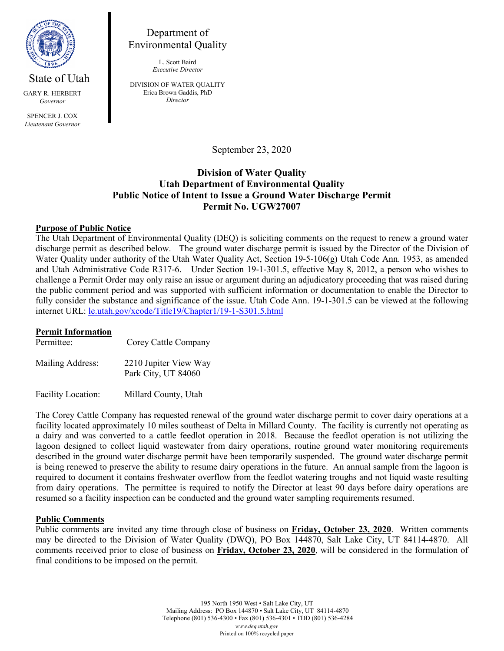

GARY R. HERBERT *Governor*

SPENCER L COX *Lieutenant Governor*

# Department of Environmental Quality

L. Scott Baird *Executive Director*

DIVISION OF WATER QUALITY Erica Brown Gaddis, PhD *Director*

September 23, 2020

## **Division of Water Quality Utah Department of Environmental Quality Public Notice of Intent to Issue a Ground Water Discharge Permit Permit No. UGW27007**

### **Purpose of Public Notice**

The Utah Department of Environmental Quality (DEQ) is soliciting comments on the request to renew a ground water discharge permit as described below. The ground water discharge permit is issued by the Director of the Division of Water Quality under authority of the Utah Water Quality Act, Section 19-5-106(g) Utah Code Ann. 1953, as amended and Utah Administrative Code R317-6. Under Section 19-1-301.5, effective May 8, 2012, a person who wishes to challenge a Permit Order may only raise an issue or argument during an adjudicatory proceeding that was raised during the public comment period and was supported with sufficient information or documentation to enable the Director to fully consider the substance and significance of the issue. Utah Code Ann. 19-1-301.5 can be viewed at the following internet URL: [le.utah.gov/xcode/Title19/Chapter1/19-1-S301.5.html](https://le.utah.gov/xcode/Title19/Chapter1/19-1-S301.5.htmlm)

#### **Permit Information**

| Permittee:                | Corey Cattle Company                         |
|---------------------------|----------------------------------------------|
| Mailing Address:          | 2210 Jupiter View Way<br>Park City, UT 84060 |
| <b>Facility Location:</b> | Millard County, Utah                         |

The Corey Cattle Company has requested renewal of the ground water discharge permit to cover dairy operations at a facility located approximately 10 miles southeast of Delta in Millard County. The facility is currently not operating as a dairy and was converted to a cattle feedlot operation in 2018. Because the feedlot operation is not utilizing the lagoon designed to collect liquid wastewater from dairy operations, routine ground water monitoring requirements described in the ground water discharge permit have been temporarily suspended. The ground water discharge permit is being renewed to preserve the ability to resume dairy operations in the future. An annual sample from the lagoon is required to document it contains freshwater overflow from the feedlot watering troughs and not liquid waste resulting from dairy operations. The permittee is required to notify the Director at least 90 days before dairy operations are resumed so a facility inspection can be conducted and the ground water sampling requirements resumed.

### **Public Comments**

Public comments are invited any time through close of business on **Friday, October 23, 2020**. Written comments may be directed to the Division of Water Quality (DWQ), PO Box 144870, Salt Lake City, UT 84114-4870. All comments received prior to close of business on **Friday, October 23, 2020**, will be considered in the formulation of final conditions to be imposed on the permit.